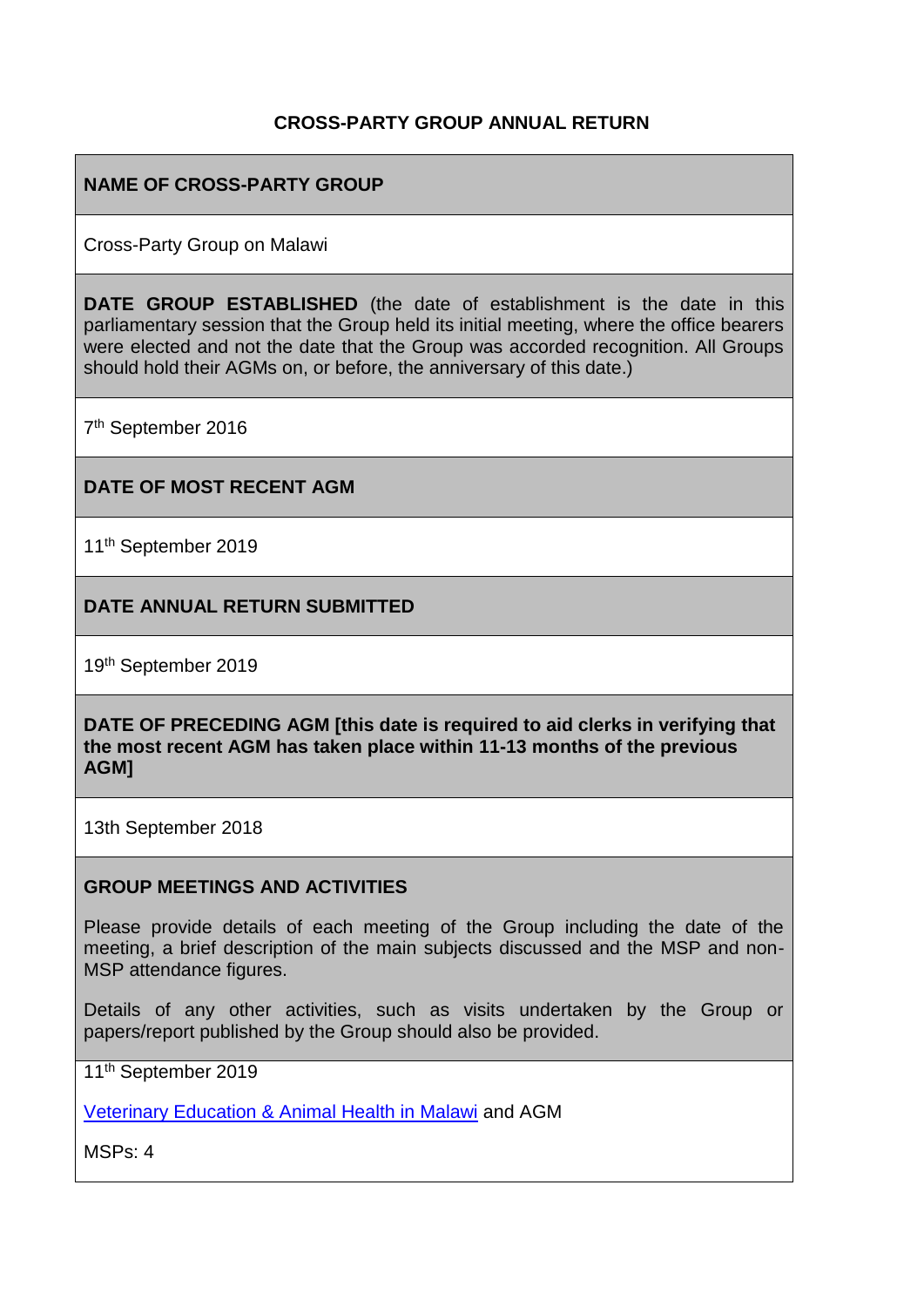#### **CROSS-PARTY GROUP ANNUAL RETURN**

#### **NAME OF CROSS-PARTY GROUP**

Cross-Party Group on Malawi

**DATE GROUP ESTABLISHED** (the date of establishment is the date in this parliamentary session that the Group held its initial meeting, where the office bearers were elected and not the date that the Group was accorded recognition. All Groups should hold their AGMs on, or before, the anniversary of this date.)

7<sup>th</sup> September 2016

#### **DATE OF MOST RECENT AGM**

11<sup>th</sup> September 2019

**DATE ANNUAL RETURN SUBMITTED**

19th September 2019

**DATE OF PRECEDING AGM [this date is required to aid clerks in verifying that the most recent AGM has taken place within 11-13 months of the previous AGM]**

13th September 2018

#### **GROUP MEETINGS AND ACTIVITIES**

Please provide details of each meeting of the Group including the date of the meeting, a brief description of the main subjects discussed and the MSP and non-MSP attendance figures.

Details of any other activities, such as visits undertaken by the Group or papers/report published by the Group should also be provided.

11th September 2019

[Veterinary Education & Animal Health in Malawi](https://www.scotland-malawipartnership.org/news-events/past-events/malawis-first-home-trained-vets-to-visit-scotland/) and AGM

MSPs: 4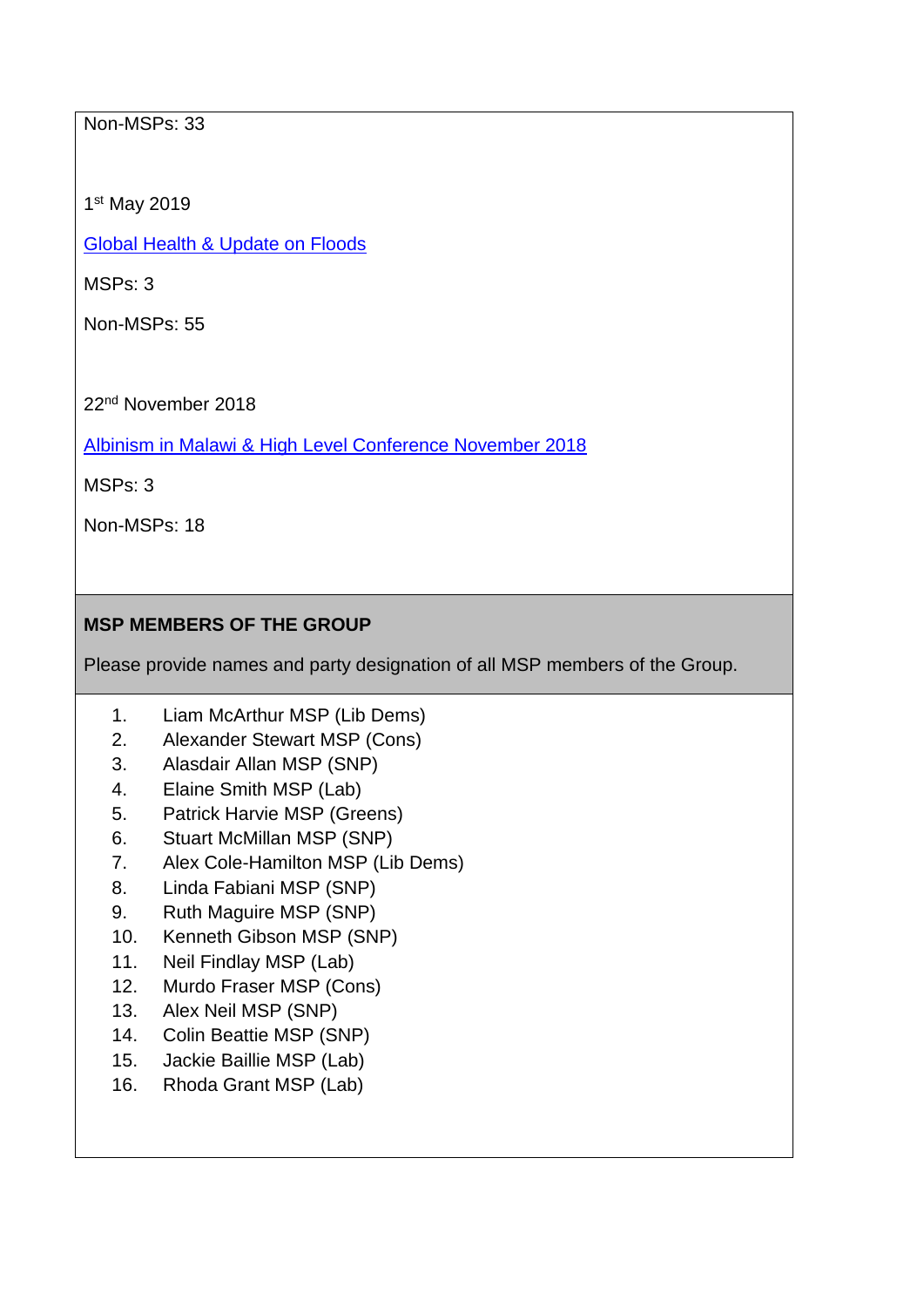### Non-MSPs: 33

1 st May 2019

[Global Health & Update on Floods](https://www.scotland-malawipartnership.org/news-events/past-events/cross-party-group-on-malawi-global-health/)

MSPs: 3

Non-MSPs: 55

22nd November 2018

[Albinism in Malawi & High Level Conference November 2018](https://www.scotland-malawipartnership.org/news-events/past-events/cpg-malawi/)

MSPs: 3

Non-MSPs: 18

# **MSP MEMBERS OF THE GROUP**

Please provide names and party designation of all MSP members of the Group.

- 1. Liam McArthur MSP (Lib Dems)
- 2. Alexander Stewart MSP (Cons)
- 3. Alasdair Allan MSP (SNP)
- 4. Elaine Smith MSP (Lab)
- 5. Patrick Harvie MSP (Greens)
- 6. Stuart McMillan MSP (SNP)
- 7. Alex Cole-Hamilton MSP (Lib Dems)
- 8. Linda Fabiani MSP (SNP)
- 9. Ruth Maguire MSP (SNP)
- 10. Kenneth Gibson MSP (SNP)
- 11. Neil Findlay MSP (Lab)
- 12. Murdo Fraser MSP (Cons)
- 13. Alex Neil MSP (SNP)
- 14. Colin Beattie MSP (SNP)
- 15. Jackie Baillie MSP (Lab)
- 16. Rhoda Grant MSP (Lab)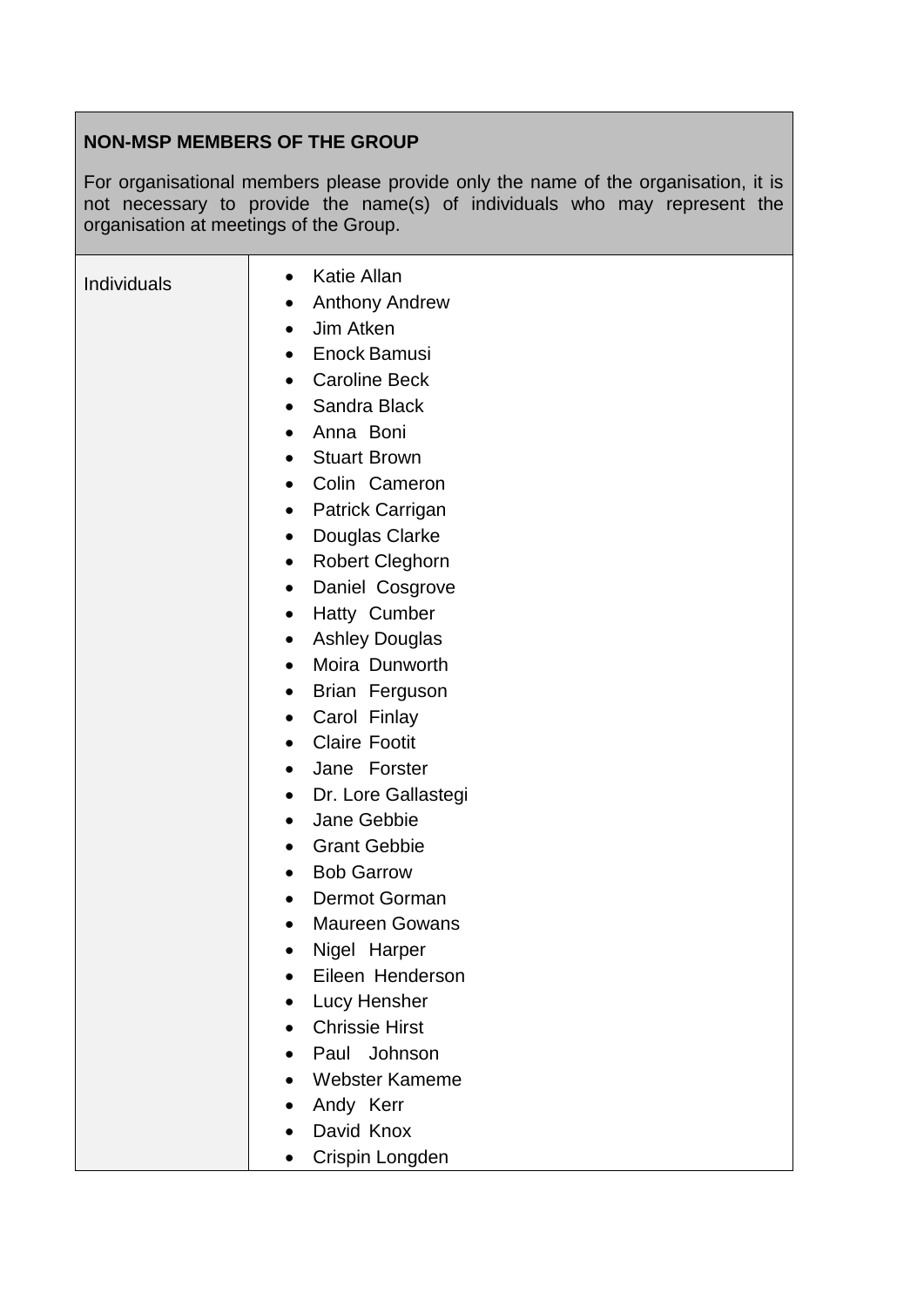# **NON-MSP MEMBERS OF THE GROUP**

For organisational members please provide only the name of the organisation, it is not necessary to provide the name(s) of individuals who may represent the organisation at meetings of the Group.

| <b>Individuals</b> | <b>Katie Allan</b><br>$\bullet$     |
|--------------------|-------------------------------------|
|                    | <b>Anthony Andrew</b><br>٠          |
|                    | Jim Atken<br>$\bullet$              |
|                    | Enock Bamusi                        |
|                    | <b>Caroline Beck</b><br>$\bullet$   |
|                    | Sandra Black<br>$\bullet$           |
|                    | Anna Boni<br>$\bullet$              |
|                    | <b>Stuart Brown</b>                 |
|                    | Colin Cameron<br>$\bullet$          |
|                    | Patrick Carrigan<br>$\bullet$       |
|                    | Douglas Clarke<br>$\bullet$         |
|                    | <b>Robert Cleghorn</b><br>$\bullet$ |
|                    | Daniel Cosgrove<br>$\bullet$        |
|                    | Hatty Cumber<br>$\bullet$           |
|                    | <b>Ashley Douglas</b><br>$\bullet$  |
|                    | Moira Dunworth<br>$\bullet$         |
|                    | Brian Ferguson                      |
|                    | Carol Finlay<br>٠                   |
|                    | <b>Claire Footit</b><br>$\bullet$   |
|                    | Jane Forster<br>$\bullet$           |
|                    | Dr. Lore Gallastegi<br>$\bullet$    |
|                    | Jane Gebbie<br>$\bullet$            |
|                    | <b>Grant Gebbie</b><br>$\bullet$    |
|                    | <b>Bob Garrow</b><br>$\bullet$      |
|                    | Dermot Gorman<br>$\bullet$          |
|                    | <b>Maureen Gowans</b>               |
|                    | Nigel Harper                        |
|                    | Eileen Henderson                    |
|                    | Lucy Hensher                        |
|                    | <b>Chrissie Hirst</b>               |
|                    | Paul Johnson                        |
|                    | <b>Webster Kameme</b>               |
|                    | Andy Kerr                           |
|                    | David Knox                          |
|                    | Crispin Longden                     |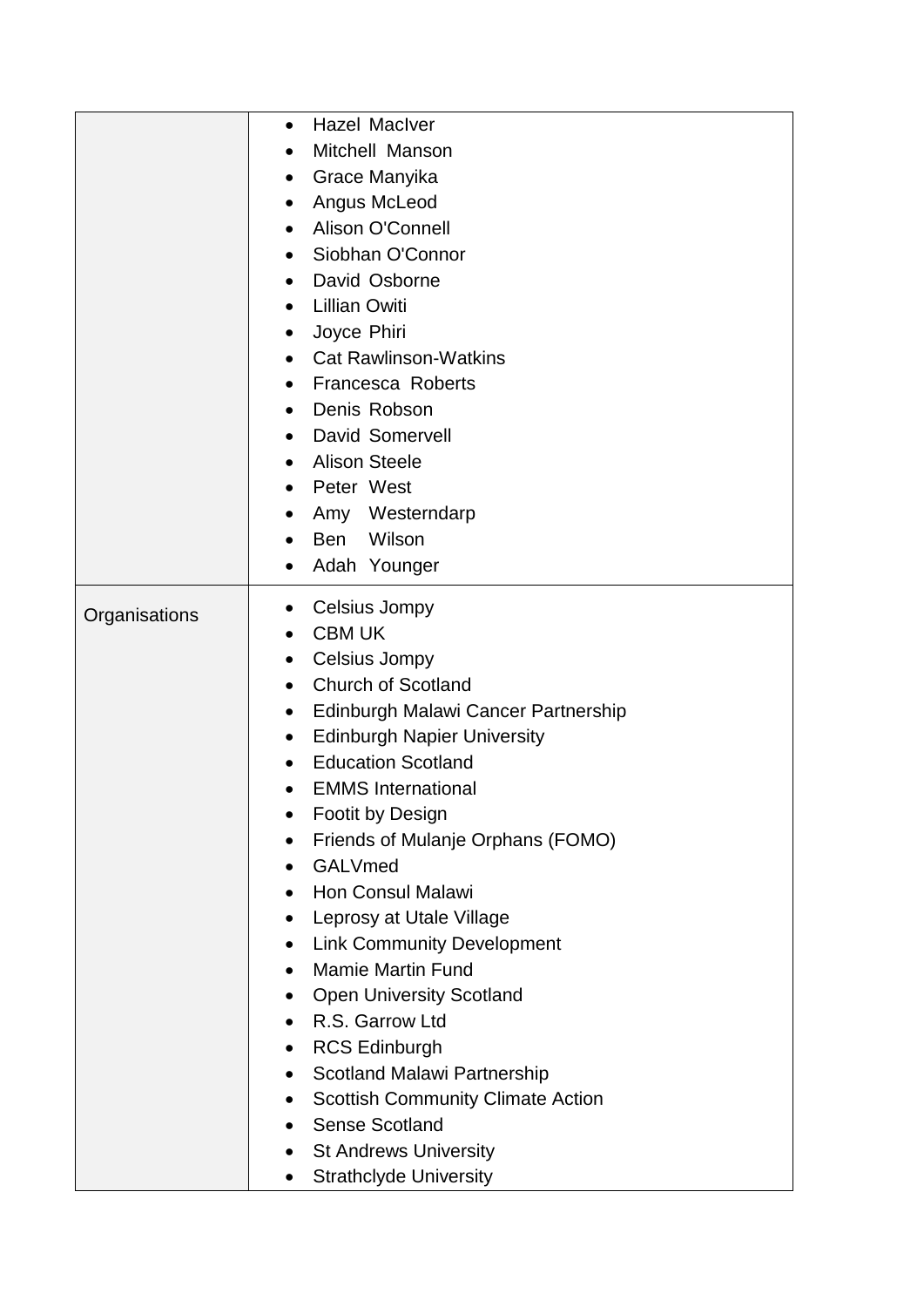|               | <b>Hazel Maclver</b><br>$\bullet$                     |
|---------------|-------------------------------------------------------|
|               | Mitchell Manson<br>$\bullet$                          |
|               | Grace Manyika<br>$\bullet$                            |
|               | Angus McLeod<br>$\bullet$                             |
|               | Alison O'Connell                                      |
|               | Siobhan O'Connor<br>$\bullet$                         |
|               | David Osborne<br>$\bullet$                            |
|               | <b>Lillian Owiti</b>                                  |
|               | Joyce Phiri<br>$\bullet$                              |
|               | <b>Cat Rawlinson-Watkins</b><br>$\bullet$             |
|               | <b>Francesca Roberts</b><br>$\bullet$                 |
|               | Denis Robson<br>$\bullet$                             |
|               | <b>David Somervell</b>                                |
|               | <b>Alison Steele</b>                                  |
|               | Peter West                                            |
|               | Amy Westerndarp                                       |
|               | Wilson<br><b>Ben</b>                                  |
|               | Adah Younger<br>$\bullet$                             |
|               | Celsius Jompy<br>$\bullet$                            |
| Organisations | <b>CBM UK</b><br>$\bullet$                            |
|               | Celsius Jompy<br>$\bullet$                            |
|               | <b>Church of Scotland</b><br>$\bullet$                |
|               | Edinburgh Malawi Cancer Partnership<br>$\bullet$      |
|               | <b>Edinburgh Napier University</b><br>$\bullet$       |
|               | <b>Education Scotland</b><br>$\bullet$                |
|               | <b>EMMS</b> International                             |
|               | Footit by Design                                      |
|               | Friends of Mulanje Orphans (FOMO)<br>٠                |
|               | GALVmed<br>$\bullet$                                  |
|               | <b>Hon Consul Malawi</b>                              |
|               | Leprosy at Utale Village<br>$\bullet$                 |
|               | <b>Link Community Development</b><br>$\bullet$        |
|               | <b>Mamie Martin Fund</b><br>$\bullet$                 |
|               | <b>Open University Scotland</b><br>$\bullet$          |
|               | R.S. Garrow Ltd<br>$\bullet$                          |
|               | <b>RCS Edinburgh</b><br>$\bullet$                     |
|               | <b>Scotland Malawi Partnership</b><br>$\bullet$       |
|               | <b>Scottish Community Climate Action</b><br>$\bullet$ |
|               | <b>Sense Scotland</b><br>$\bullet$                    |
|               | <b>St Andrews University</b>                          |
|               | <b>Strathclyde University</b>                         |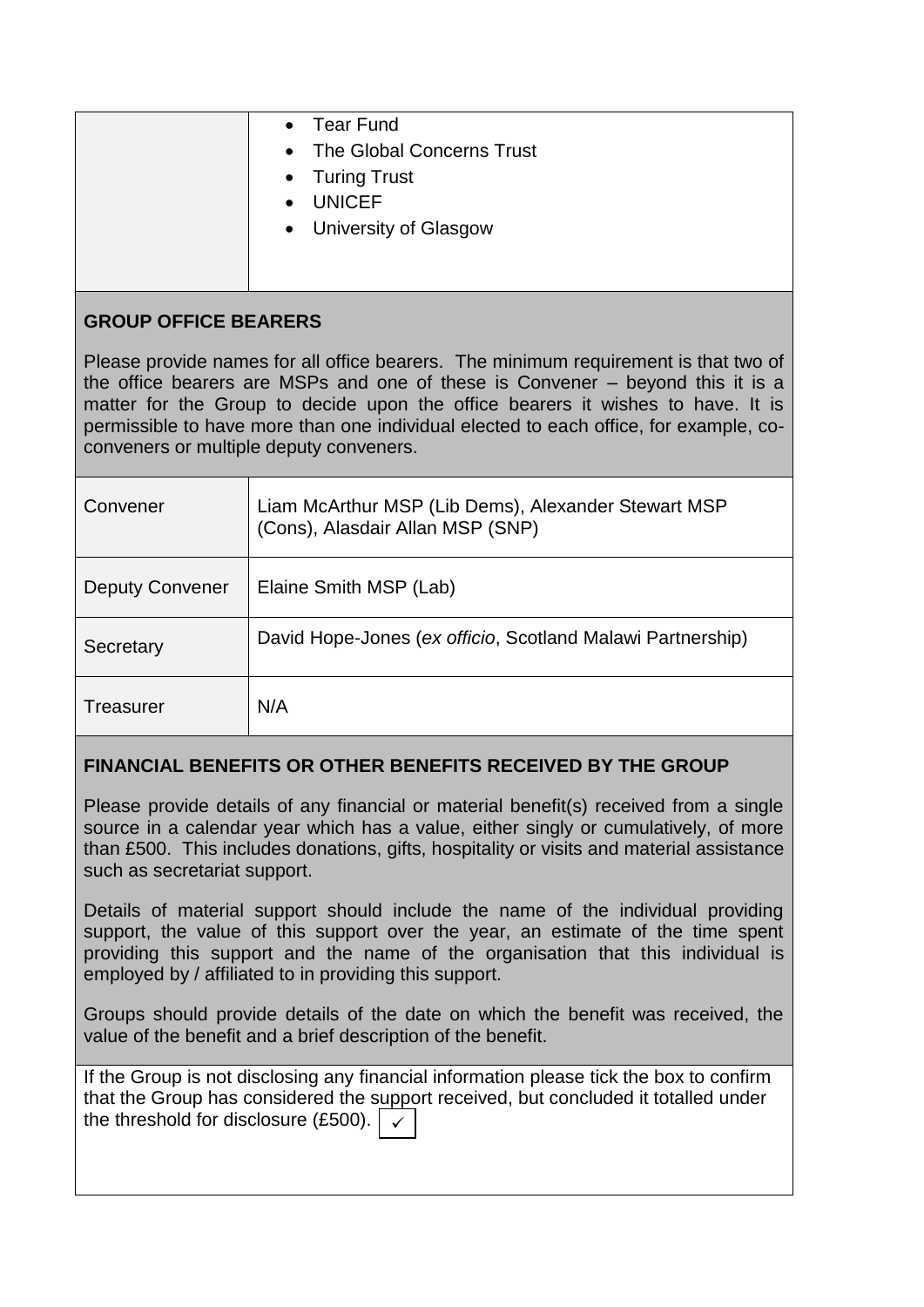|                             | <b>Tear Fund</b><br>• The Global Concerns Trust<br>• Turing Trust<br><b>UNICEF</b><br>• University of Glasgow |
|-----------------------------|---------------------------------------------------------------------------------------------------------------|
| <b>GROUP OFFICE BEARERS</b> |                                                                                                               |
|                             | Please provide names for all office bearers. The minimum requirement is that two of                           |

Please provide names for all office bearers. The minimum requirement is that two of the office bearers are MSPs and one of these is Convener – beyond this it is a matter for the Group to decide upon the office bearers it wishes to have. It is permissible to have more than one individual elected to each office, for example, coconveners or multiple deputy conveners.

| Convener               | Liam McArthur MSP (Lib Dems), Alexander Stewart MSP<br>(Cons), Alasdair Allan MSP (SNP) |
|------------------------|-----------------------------------------------------------------------------------------|
| <b>Deputy Convener</b> | Elaine Smith MSP (Lab)                                                                  |
| Secretary              | David Hope-Jones (ex officio, Scotland Malawi Partnership)                              |
| Treasurer              | N/A                                                                                     |

# **FINANCIAL BENEFITS OR OTHER BENEFITS RECEIVED BY THE GROUP**

Please provide details of any financial or material benefit(s) received from a single source in a calendar year which has a value, either singly or cumulatively, of more than £500. This includes donations, gifts, hospitality or visits and material assistance such as secretariat support.

Details of material support should include the name of the individual providing support, the value of this support over the year, an estimate of the time spent providing this support and the name of the organisation that this individual is employed by / affiliated to in providing this support.

Groups should provide details of the date on which the benefit was received, the value of the benefit and a brief description of the benefit.

If the Group is not disclosing any financial information please tick the box to confirm that the Group has considered the support received, but concluded it totalled under the threshold for disclosure (£500).  $\vert \checkmark$